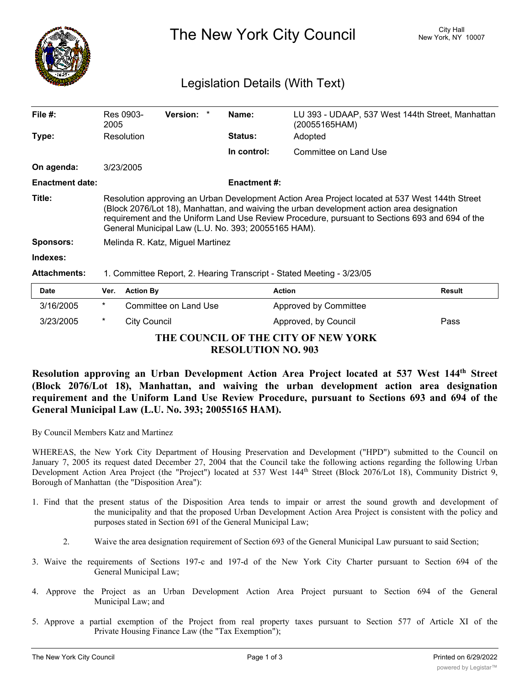

The New York City Council New York, NY 10007

## Legislation Details (With Text)

| File $#$ :             | Res 0903-<br>2005                                                                                                                                                                                                                                                                                                                                    |                       | <b>Version:</b> |  | Name:               | (20055165HAM)         | LU 393 - UDAAP, 537 West 144th Street, Manhattan |
|------------------------|------------------------------------------------------------------------------------------------------------------------------------------------------------------------------------------------------------------------------------------------------------------------------------------------------------------------------------------------------|-----------------------|-----------------|--|---------------------|-----------------------|--------------------------------------------------|
| Type:                  | Resolution                                                                                                                                                                                                                                                                                                                                           |                       |                 |  | <b>Status:</b>      | Adopted               |                                                  |
|                        |                                                                                                                                                                                                                                                                                                                                                      |                       |                 |  | In control:         | Committee on Land Use |                                                  |
| On agenda:             | 3/23/2005                                                                                                                                                                                                                                                                                                                                            |                       |                 |  |                     |                       |                                                  |
| <b>Enactment date:</b> |                                                                                                                                                                                                                                                                                                                                                      |                       |                 |  | <b>Enactment #:</b> |                       |                                                  |
| Title:                 | Resolution approving an Urban Development Action Area Project located at 537 West 144th Street<br>(Block 2076/Lot 18), Manhattan, and waiving the urban development action area designation<br>requirement and the Uniform Land Use Review Procedure, pursuant to Sections 693 and 694 of the<br>General Municipal Law (L.U. No. 393; 20055165 HAM). |                       |                 |  |                     |                       |                                                  |
| <b>Sponsors:</b>       | Melinda R. Katz, Miguel Martinez                                                                                                                                                                                                                                                                                                                     |                       |                 |  |                     |                       |                                                  |
| Indexes:               |                                                                                                                                                                                                                                                                                                                                                      |                       |                 |  |                     |                       |                                                  |
| <b>Attachments:</b>    | 1. Committee Report, 2. Hearing Transcript - Stated Meeting - 3/23/05                                                                                                                                                                                                                                                                                |                       |                 |  |                     |                       |                                                  |
| <b>Date</b>            | Ver.                                                                                                                                                                                                                                                                                                                                                 | <b>Action By</b>      |                 |  |                     | <b>Action</b>         | <b>Result</b>                                    |
| 3/16/2005              | *                                                                                                                                                                                                                                                                                                                                                    | Committee on Land Use |                 |  |                     | Approved by Committee |                                                  |

**THE COUNCIL OF THE CITY OF NEW YORK RESOLUTION NO. 903**

3/23/2005 \* City Council **Approved, by Council** Pass

## **Resolution approving an Urban Development Action Area Project located at 537 West 144th Street (Block 2076/Lot 18), Manhattan, and waiving the urban development action area designation requirement and the Uniform Land Use Review Procedure, pursuant to Sections 693 and 694 of the General Municipal Law (L.U. No. 393; 20055165 HAM).**

By Council Members Katz and Martinez

WHEREAS, the New York City Department of Housing Preservation and Development ("HPD") submitted to the Council on January 7, 2005 its request dated December 27, 2004 that the Council take the following actions regarding the following Urban Development Action Area Project (the "Project") located at 537 West 144<sup>th</sup> Street (Block 2076/Lot 18), Community District 9, Borough of Manhattan (the "Disposition Area"):

- 1. Find that the present status of the Disposition Area tends to impair or arrest the sound growth and development of the municipality and that the proposed Urban Development Action Area Project is consistent with the policy and purposes stated in Section 691 of the General Municipal Law;
	- 2. Waive the area designation requirement of Section 693 of the General Municipal Law pursuant to said Section;
- 3. Waive the requirements of Sections 197-c and 197-d of the New York City Charter pursuant to Section 694 of the General Municipal Law;
- 4. Approve the Project as an Urban Development Action Area Project pursuant to Section 694 of the General Municipal Law; and
- 5. Approve a partial exemption of the Project from real property taxes pursuant to Section 577 of Article XI of the Private Housing Finance Law (the "Tax Exemption");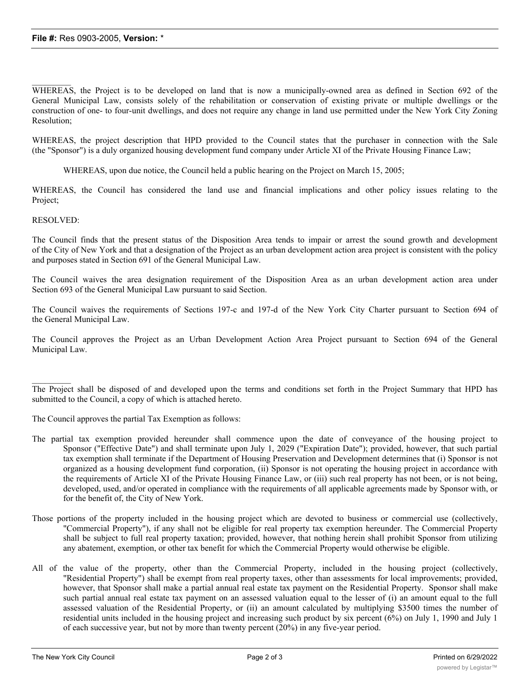WHEREAS, the Project is to be developed on land that is now a municipally-owned area as defined in Section 692 of the General Municipal Law, consists solely of the rehabilitation or conservation of existing private or multiple dwellings or the construction of one- to four-unit dwellings, and does not require any change in land use permitted under the New York City Zoning Resolution;

WHEREAS, the project description that HPD provided to the Council states that the purchaser in connection with the Sale (the "Sponsor") is a duly organized housing development fund company under Article XI of the Private Housing Finance Law;

WHEREAS, upon due notice, the Council held a public hearing on the Project on March 15, 2005;

WHEREAS, the Council has considered the land use and financial implications and other policy issues relating to the Project;

RESOLVED:

 $\frac{1}{2}$ 

The Council finds that the present status of the Disposition Area tends to impair or arrest the sound growth and development of the City of New York and that a designation of the Project as an urban development action area project is consistent with the policy and purposes stated in Section 691 of the General Municipal Law.

The Council waives the area designation requirement of the Disposition Area as an urban development action area under Section 693 of the General Municipal Law pursuant to said Section.

The Council waives the requirements of Sections 197-c and 197-d of the New York City Charter pursuant to Section 694 of the General Municipal Law.

The Council approves the Project as an Urban Development Action Area Project pursuant to Section 694 of the General Municipal Law.

 $\frac{1}{2}$ The Project shall be disposed of and developed upon the terms and conditions set forth in the Project Summary that HPD has submitted to the Council, a copy of which is attached hereto.

The Council approves the partial Tax Exemption as follows:

- The partial tax exemption provided hereunder shall commence upon the date of conveyance of the housing project to Sponsor ("Effective Date") and shall terminate upon July 1, 2029 ("Expiration Date"); provided, however, that such partial tax exemption shall terminate if the Department of Housing Preservation and Development determines that (i) Sponsor is not organized as a housing development fund corporation, (ii) Sponsor is not operating the housing project in accordance with the requirements of Article XI of the Private Housing Finance Law, or (iii) such real property has not been, or is not being, developed, used, and/or operated in compliance with the requirements of all applicable agreements made by Sponsor with, or for the benefit of, the City of New York.
- Those portions of the property included in the housing project which are devoted to business or commercial use (collectively, "Commercial Property"), if any shall not be eligible for real property tax exemption hereunder. The Commercial Property shall be subject to full real property taxation; provided, however, that nothing herein shall prohibit Sponsor from utilizing any abatement, exemption, or other tax benefit for which the Commercial Property would otherwise be eligible.
- All of the value of the property, other than the Commercial Property, included in the housing project (collectively, "Residential Property") shall be exempt from real property taxes, other than assessments for local improvements; provided, however, that Sponsor shall make a partial annual real estate tax payment on the Residential Property. Sponsor shall make such partial annual real estate tax payment on an assessed valuation equal to the lesser of (i) an amount equal to the full assessed valuation of the Residential Property, or (ii) an amount calculated by multiplying \$3500 times the number of residential units included in the housing project and increasing such product by six percent (6%) on July 1, 1990 and July 1 of each successive year, but not by more than twenty percent (20%) in any five-year period.